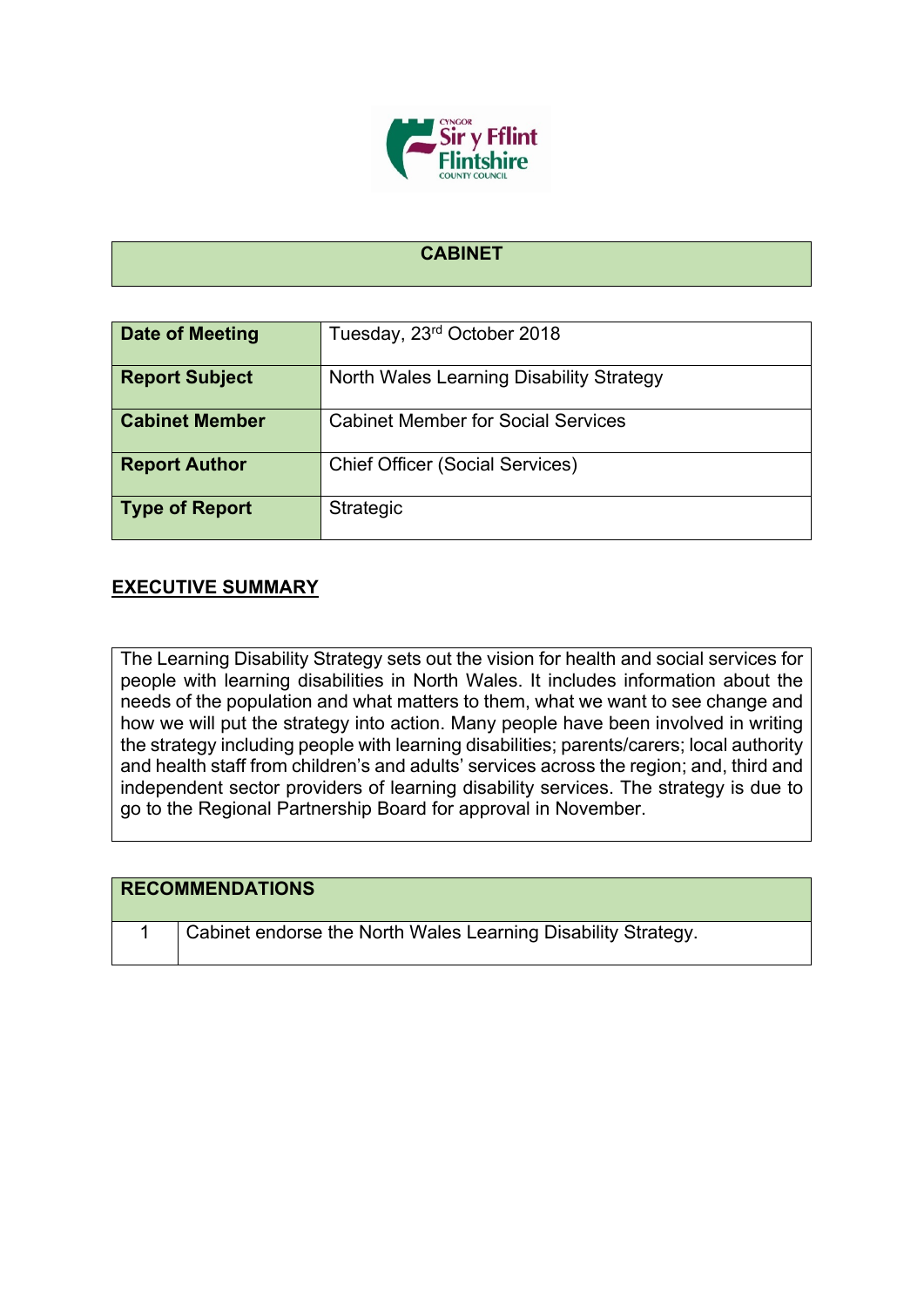

## **CABINET**

| Date of Meeting       | Tuesday, 23rd October 2018                |
|-----------------------|-------------------------------------------|
| <b>Report Subject</b> | North Wales Learning Disability Strategy  |
| <b>Cabinet Member</b> | <b>Cabinet Member for Social Services</b> |
| <b>Report Author</b>  | <b>Chief Officer (Social Services)</b>    |
| Type of Report        | <b>Strategic</b>                          |

## **EXECUTIVE SUMMARY**

The Learning Disability Strategy sets out the vision for health and social services for people with learning disabilities in North Wales. It includes information about the needs of the population and what matters to them, what we want to see change and how we will put the strategy into action. Many people have been involved in writing the strategy including people with learning disabilities; parents/carers; local authority and health staff from children's and adults' services across the region; and, third and independent sector providers of learning disability services. The strategy is due to go to the Regional Partnership Board for approval in November.

| <b>RECOMMENDATIONS</b>                                        |
|---------------------------------------------------------------|
| Cabinet endorse the North Wales Learning Disability Strategy. |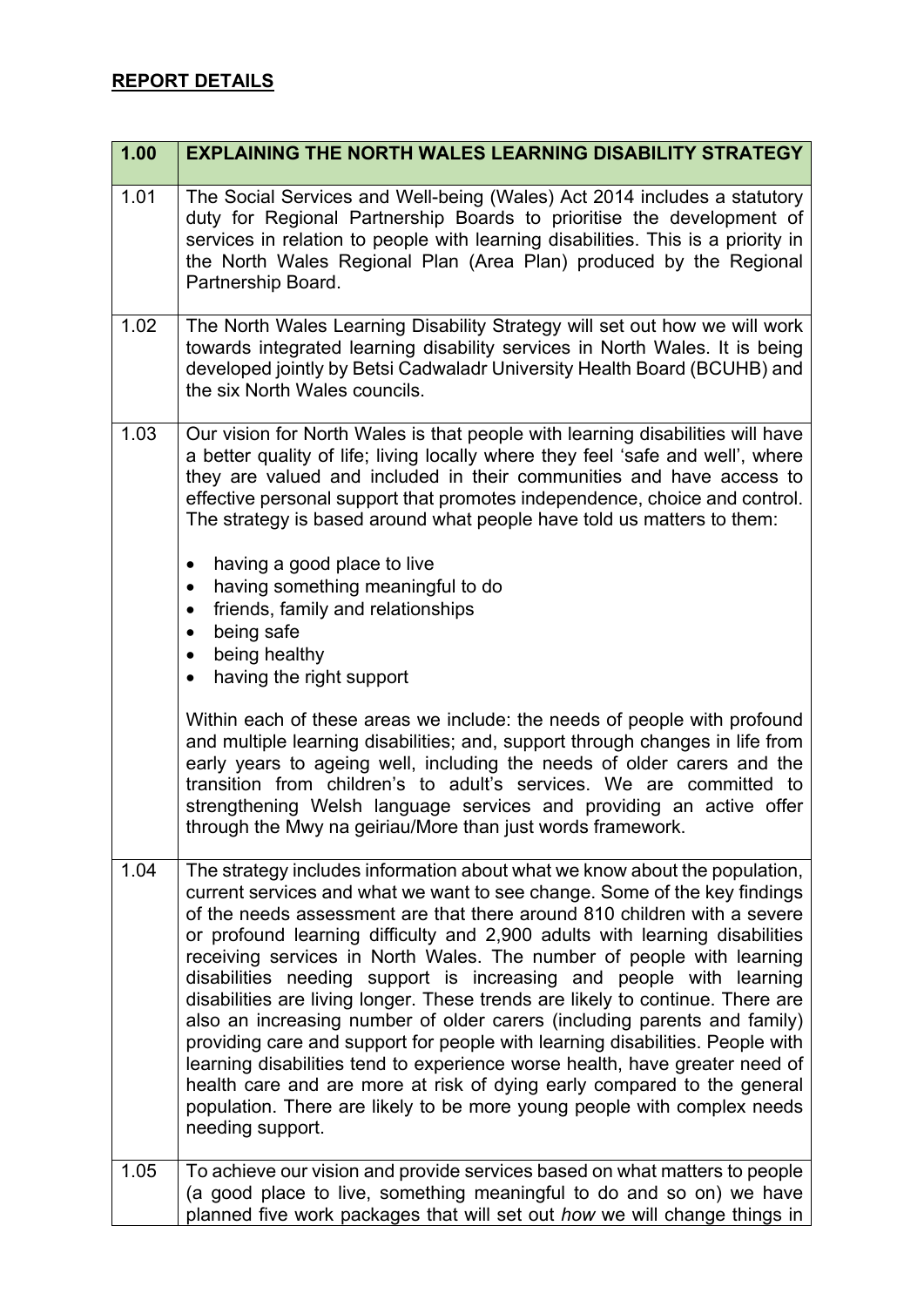| 1.00 | <b>EXPLAINING THE NORTH WALES LEARNING DISABILITY STRATEGY</b>                                                                                                                                                                                                                                                                                                                                                                                                                                                                                                                                                                                                                                                                                                                                                                                                                                                                                                             |
|------|----------------------------------------------------------------------------------------------------------------------------------------------------------------------------------------------------------------------------------------------------------------------------------------------------------------------------------------------------------------------------------------------------------------------------------------------------------------------------------------------------------------------------------------------------------------------------------------------------------------------------------------------------------------------------------------------------------------------------------------------------------------------------------------------------------------------------------------------------------------------------------------------------------------------------------------------------------------------------|
| 1.01 | The Social Services and Well-being (Wales) Act 2014 includes a statutory<br>duty for Regional Partnership Boards to prioritise the development of<br>services in relation to people with learning disabilities. This is a priority in<br>the North Wales Regional Plan (Area Plan) produced by the Regional<br>Partnership Board.                                                                                                                                                                                                                                                                                                                                                                                                                                                                                                                                                                                                                                          |
| 1.02 | The North Wales Learning Disability Strategy will set out how we will work<br>towards integrated learning disability services in North Wales. It is being<br>developed jointly by Betsi Cadwaladr University Health Board (BCUHB) and<br>the six North Wales councils.                                                                                                                                                                                                                                                                                                                                                                                                                                                                                                                                                                                                                                                                                                     |
| 1.03 | Our vision for North Wales is that people with learning disabilities will have<br>a better quality of life; living locally where they feel 'safe and well', where<br>they are valued and included in their communities and have access to<br>effective personal support that promotes independence, choice and control.<br>The strategy is based around what people have told us matters to them:                                                                                                                                                                                                                                                                                                                                                                                                                                                                                                                                                                          |
|      | having a good place to live<br>$\bullet$<br>having something meaningful to do<br>$\bullet$<br>friends, family and relationships<br>$\bullet$<br>being safe<br>$\bullet$<br>being healthy<br>$\bullet$<br>having the right support<br>$\bullet$                                                                                                                                                                                                                                                                                                                                                                                                                                                                                                                                                                                                                                                                                                                             |
|      | Within each of these areas we include: the needs of people with profound<br>and multiple learning disabilities; and, support through changes in life from<br>early years to ageing well, including the needs of older carers and the<br>transition from children's to adult's services. We are committed to<br>strengthening Welsh language services and providing an active offer<br>through the Mwy na geiriau/More than just words framework.                                                                                                                                                                                                                                                                                                                                                                                                                                                                                                                           |
| 1.04 | The strategy includes information about what we know about the population,<br>current services and what we want to see change. Some of the key findings<br>of the needs assessment are that there around 810 children with a severe<br>or profound learning difficulty and 2,900 adults with learning disabilities<br>receiving services in North Wales. The number of people with learning<br>disabilities needing support is increasing and people with learning<br>disabilities are living longer. These trends are likely to continue. There are<br>also an increasing number of older carers (including parents and family)<br>providing care and support for people with learning disabilities. People with<br>learning disabilities tend to experience worse health, have greater need of<br>health care and are more at risk of dying early compared to the general<br>population. There are likely to be more young people with complex needs<br>needing support. |
| 1.05 | To achieve our vision and provide services based on what matters to people<br>(a good place to live, something meaningful to do and so on) we have<br>planned five work packages that will set out how we will change things in                                                                                                                                                                                                                                                                                                                                                                                                                                                                                                                                                                                                                                                                                                                                            |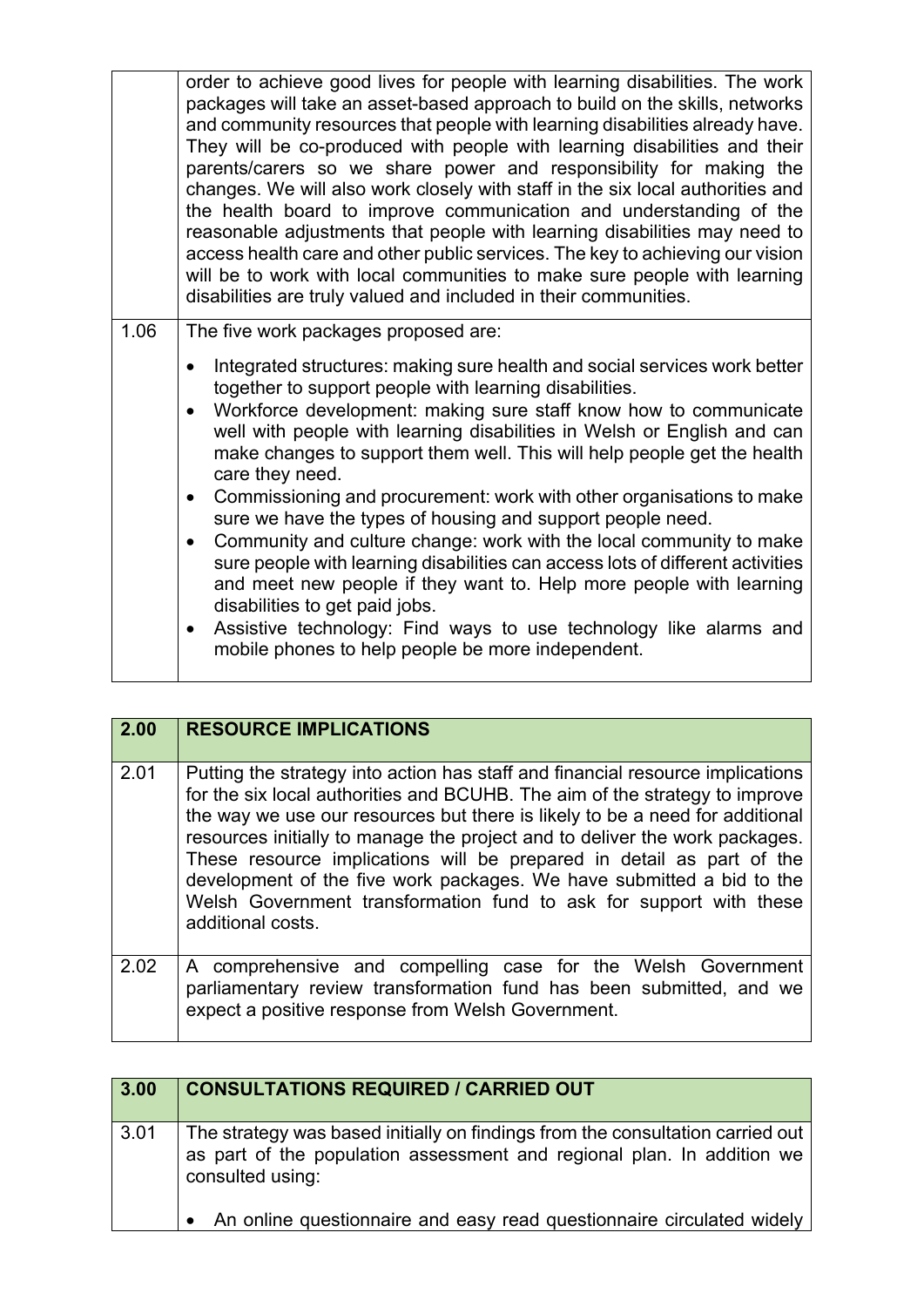|      | order to achieve good lives for people with learning disabilities. The work<br>packages will take an asset-based approach to build on the skills, networks<br>and community resources that people with learning disabilities already have.<br>They will be co-produced with people with learning disabilities and their<br>parents/carers so we share power and responsibility for making the<br>changes. We will also work closely with staff in the six local authorities and<br>the health board to improve communication and understanding of the<br>reasonable adjustments that people with learning disabilities may need to<br>access health care and other public services. The key to achieving our vision<br>will be to work with local communities to make sure people with learning<br>disabilities are truly valued and included in their communities.                                                                                                                                                         |
|------|-----------------------------------------------------------------------------------------------------------------------------------------------------------------------------------------------------------------------------------------------------------------------------------------------------------------------------------------------------------------------------------------------------------------------------------------------------------------------------------------------------------------------------------------------------------------------------------------------------------------------------------------------------------------------------------------------------------------------------------------------------------------------------------------------------------------------------------------------------------------------------------------------------------------------------------------------------------------------------------------------------------------------------|
| 1.06 | The five work packages proposed are:<br>Integrated structures: making sure health and social services work better<br>$\bullet$<br>together to support people with learning disabilities.<br>Workforce development: making sure staff know how to communicate<br>$\bullet$<br>well with people with learning disabilities in Welsh or English and can<br>make changes to support them well. This will help people get the health<br>care they need.<br>Commissioning and procurement: work with other organisations to make<br>$\bullet$<br>sure we have the types of housing and support people need.<br>Community and culture change: work with the local community to make<br>$\bullet$<br>sure people with learning disabilities can access lots of different activities<br>and meet new people if they want to. Help more people with learning<br>disabilities to get paid jobs.<br>Assistive technology: Find ways to use technology like alarms and<br>$\bullet$<br>mobile phones to help people be more independent. |

| 2.00 | <b>RESOURCE IMPLICATIONS</b>                                                                                                                                                                                                                                                                                                                                                                                                                                                                                                                                              |
|------|---------------------------------------------------------------------------------------------------------------------------------------------------------------------------------------------------------------------------------------------------------------------------------------------------------------------------------------------------------------------------------------------------------------------------------------------------------------------------------------------------------------------------------------------------------------------------|
| 2.01 | Putting the strategy into action has staff and financial resource implications<br>for the six local authorities and BCUHB. The aim of the strategy to improve<br>the way we use our resources but there is likely to be a need for additional<br>resources initially to manage the project and to deliver the work packages.<br>These resource implications will be prepared in detail as part of the<br>development of the five work packages. We have submitted a bid to the<br>Welsh Government transformation fund to ask for support with these<br>additional costs. |
| 2.02 | A comprehensive and compelling case for the Welsh Government<br>parliamentary review transformation fund has been submitted, and we<br>expect a positive response from Welsh Government.                                                                                                                                                                                                                                                                                                                                                                                  |

| 3.00 | <b>CONSULTATIONS REQUIRED / CARRIED OUT</b>                                                                                                                                  |
|------|------------------------------------------------------------------------------------------------------------------------------------------------------------------------------|
| 3.01 | The strategy was based initially on findings from the consultation carried out<br>as part of the population assessment and regional plan. In addition we<br>consulted using: |
|      | An online questionnaire and easy read questionnaire circulated widely                                                                                                        |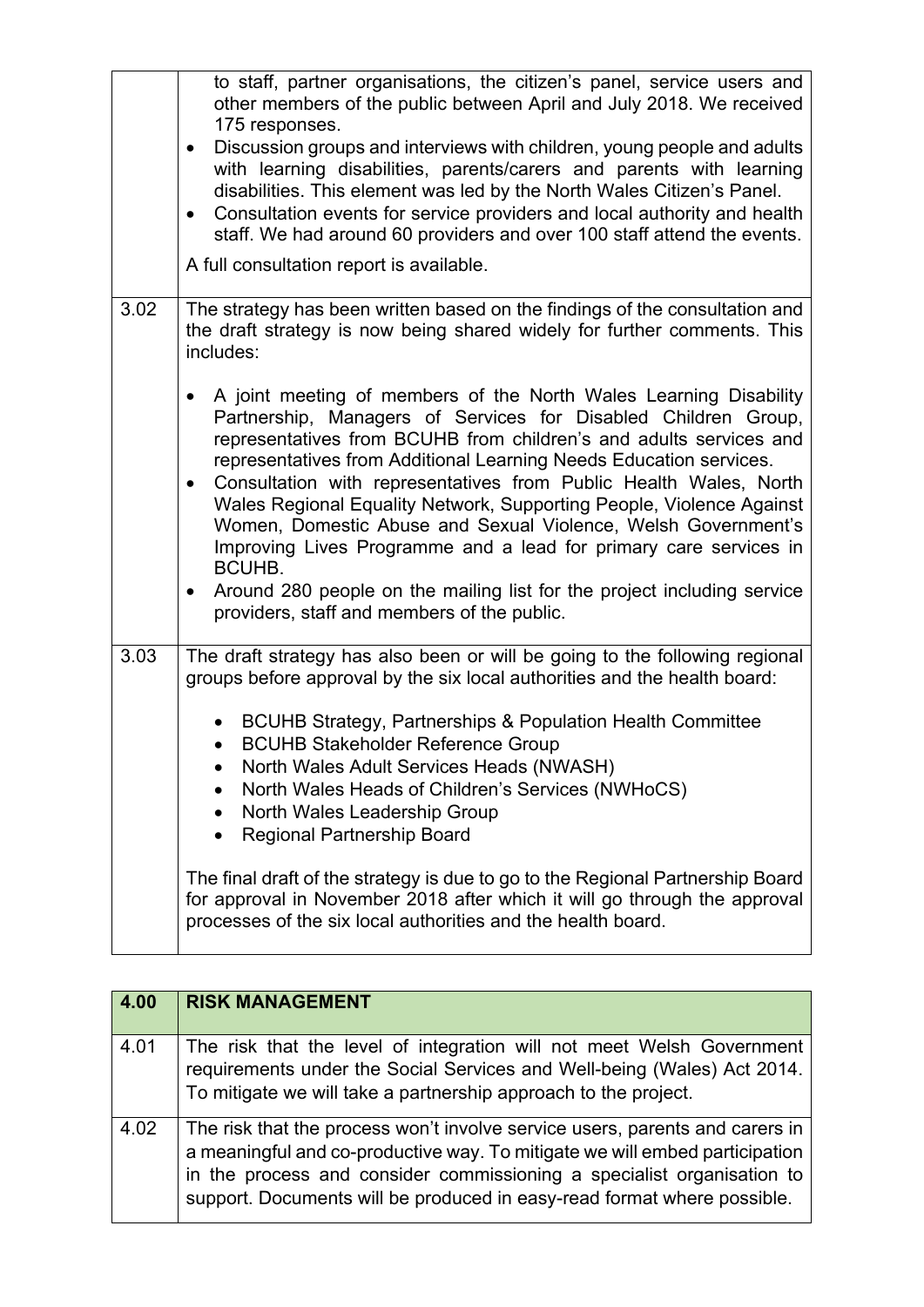|      | to staff, partner organisations, the citizen's panel, service users and<br>other members of the public between April and July 2018. We received<br>175 responses.<br>Discussion groups and interviews with children, young people and adults<br>$\bullet$<br>with learning disabilities, parents/carers and parents with learning<br>disabilities. This element was led by the North Wales Citizen's Panel.<br>Consultation events for service providers and local authority and health<br>$\bullet$<br>staff. We had around 60 providers and over 100 staff attend the events.<br>A full consultation report is available.                                                                                                                          |
|------|------------------------------------------------------------------------------------------------------------------------------------------------------------------------------------------------------------------------------------------------------------------------------------------------------------------------------------------------------------------------------------------------------------------------------------------------------------------------------------------------------------------------------------------------------------------------------------------------------------------------------------------------------------------------------------------------------------------------------------------------------|
| 3.02 | The strategy has been written based on the findings of the consultation and<br>the draft strategy is now being shared widely for further comments. This<br>includes:                                                                                                                                                                                                                                                                                                                                                                                                                                                                                                                                                                                 |
|      | A joint meeting of members of the North Wales Learning Disability<br>$\bullet$<br>Partnership, Managers of Services for Disabled Children Group,<br>representatives from BCUHB from children's and adults services and<br>representatives from Additional Learning Needs Education services.<br>Consultation with representatives from Public Health Wales, North<br>$\bullet$<br>Wales Regional Equality Network, Supporting People, Violence Against<br>Women, Domestic Abuse and Sexual Violence, Welsh Government's<br>Improving Lives Programme and a lead for primary care services in<br><b>BCUHB.</b><br>Around 280 people on the mailing list for the project including service<br>$\bullet$<br>providers, staff and members of the public. |
| 3.03 | The draft strategy has also been or will be going to the following regional<br>groups before approval by the six local authorities and the health board:                                                                                                                                                                                                                                                                                                                                                                                                                                                                                                                                                                                             |
|      | • BCUHB Strategy, Partnerships & Population Health Committee<br><b>BCUHB Stakeholder Reference Group</b><br>North Wales Adult Services Heads (NWASH)<br>North Wales Heads of Children's Services (NWHoCS)<br>North Wales Leadership Group<br>$\bullet$<br><b>Regional Partnership Board</b>                                                                                                                                                                                                                                                                                                                                                                                                                                                          |
|      | The final draft of the strategy is due to go to the Regional Partnership Board<br>for approval in November 2018 after which it will go through the approval<br>processes of the six local authorities and the health board.                                                                                                                                                                                                                                                                                                                                                                                                                                                                                                                          |

| 4.00 | <b>RISK MANAGEMENT</b>                                                                                                                                                                                                                                                                                           |
|------|------------------------------------------------------------------------------------------------------------------------------------------------------------------------------------------------------------------------------------------------------------------------------------------------------------------|
| 4.01 | The risk that the level of integration will not meet Welsh Government<br>requirements under the Social Services and Well-being (Wales) Act 2014.<br>To mitigate we will take a partnership approach to the project.                                                                                              |
| 4.02 | The risk that the process won't involve service users, parents and carers in<br>a meaningful and co-productive way. To mitigate we will embed participation<br>in the process and consider commissioning a specialist organisation to<br>support. Documents will be produced in easy-read format where possible. |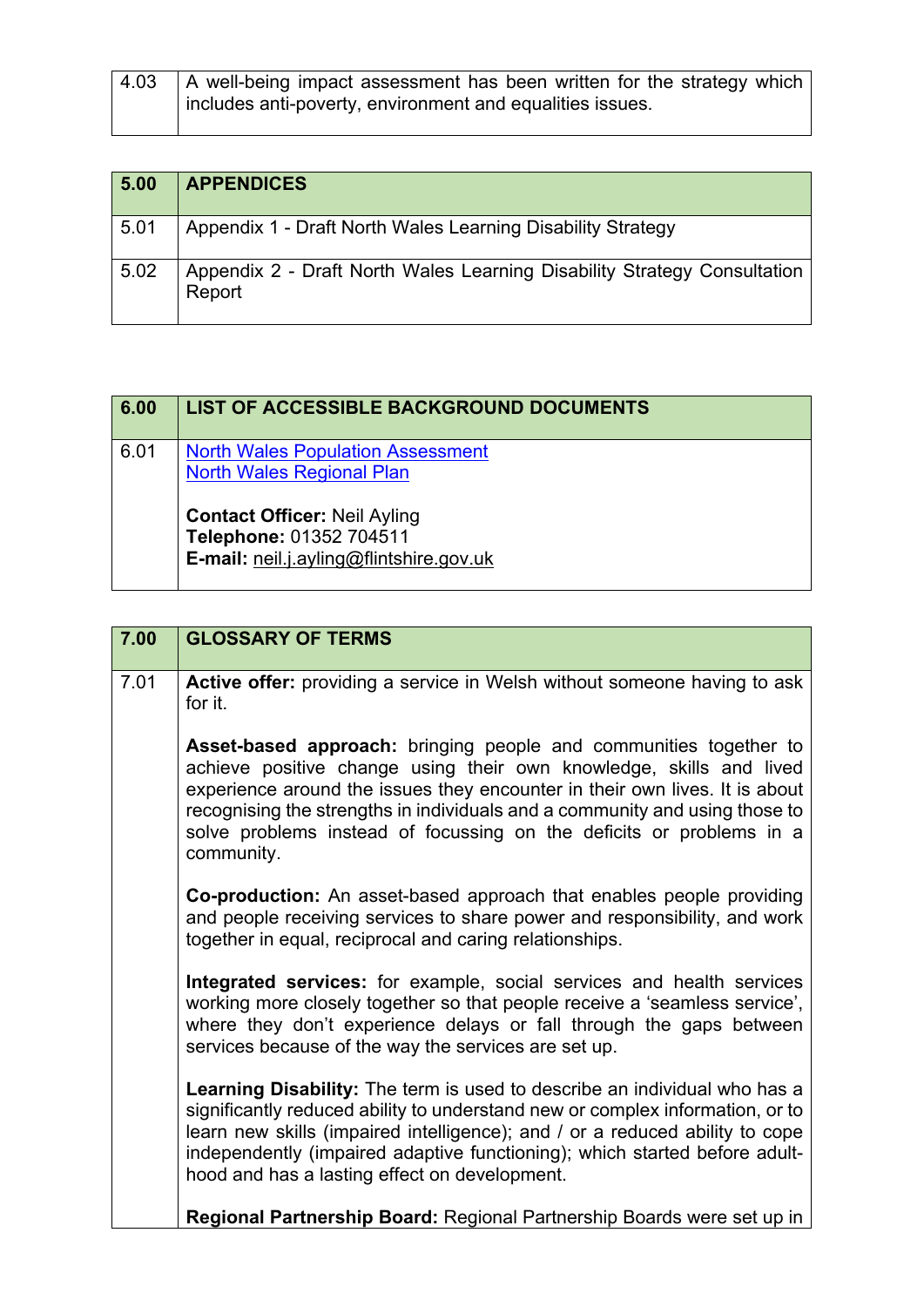| 4.03 | A well-being impact assessment has been written for the strategy which<br>includes anti-poverty, environment and equalities issues. |
|------|-------------------------------------------------------------------------------------------------------------------------------------|
|      |                                                                                                                                     |

| 5.00 | <b>APPENDICES</b>                                                                  |
|------|------------------------------------------------------------------------------------|
| 5.01 | Appendix 1 - Draft North Wales Learning Disability Strategy                        |
| 5.02 | Appendix 2 - Draft North Wales Learning Disability Strategy Consultation<br>Report |

| 6.00 | <b>LIST OF ACCESSIBLE BACKGROUND DOCUMENTS</b>                                                                                                                                            |
|------|-------------------------------------------------------------------------------------------------------------------------------------------------------------------------------------------|
| 6.01 | <b>North Wales Population Assessment</b><br><b>North Wales Regional Plan</b><br><b>Contact Officer: Neil Ayling</b><br>Telephone: 01352 704511<br>E-mail: neil.j.ayling@flintshire.gov.uk |

| 7.00 | <b>GLOSSARY OF TERMS</b>                                                                                                                                                                                                                                                                                                                                                                     |
|------|----------------------------------------------------------------------------------------------------------------------------------------------------------------------------------------------------------------------------------------------------------------------------------------------------------------------------------------------------------------------------------------------|
| 7.01 | Active offer: providing a service in Welsh without someone having to ask<br>for it.                                                                                                                                                                                                                                                                                                          |
|      | Asset-based approach: bringing people and communities together to<br>achieve positive change using their own knowledge, skills and lived<br>experience around the issues they encounter in their own lives. It is about<br>recognising the strengths in individuals and a community and using those to<br>solve problems instead of focussing on the deficits or problems in a<br>community. |
|      | Co-production: An asset-based approach that enables people providing<br>and people receiving services to share power and responsibility, and work<br>together in equal, reciprocal and caring relationships.                                                                                                                                                                                 |
|      | Integrated services: for example, social services and health services<br>working more closely together so that people receive a 'seamless service',<br>where they don't experience delays or fall through the gaps between<br>services because of the way the services are set up.                                                                                                           |
|      | Learning Disability: The term is used to describe an individual who has a<br>significantly reduced ability to understand new or complex information, or to<br>learn new skills (impaired intelligence); and / or a reduced ability to cope<br>independently (impaired adaptive functioning); which started before adult-<br>hood and has a lasting effect on development.                    |
|      | Regional Partnership Board: Regional Partnership Boards were set up in                                                                                                                                                                                                                                                                                                                       |